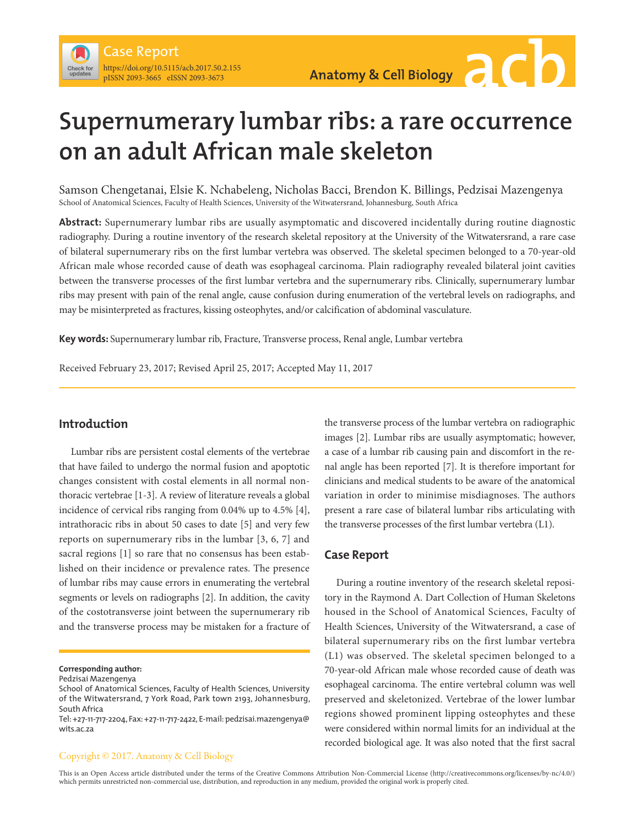# **Supernumerary lumbar ribs: a rare occurrence on an adult African male skeleton**

Samson Chengetanai, Elsie K. Nchabeleng, Nicholas Bacci, Brendon K. Billings, Pedzisai Mazengenya School of Anatomical Sciences, Faculty of Health Sciences, University of the Witwatersrand, Johannesburg, South Africa

**Abstract:** Supernumerary lumbar ribs are usually asymptomatic and discovered incidentally during routine diagnostic radiography. During a routine inventory of the research skeletal repository at the University of the Witwatersrand, a rare case of bilateral supernumerary ribs on the first lumbar vertebra was observed. The skeletal specimen belonged to a 70-year-old African male whose recorded cause of death was esophageal carcinoma. Plain radiography revealed bilateral joint cavities between the transverse processes of the first lumbar vertebra and the supernumerary ribs. Clinically, supernumerary lumbar ribs may present with pain of the renal angle, cause confusion during enumeration of the vertebral levels on radiographs, and may be misinterpreted as fractures, kissing osteophytes, and/or calcification of abdominal vasculature.

**Key words:** Supernumerary lumbar rib, Fracture, Transverse process, Renal angle, Lumbar vertebra

Received February 23, 2017; Revised April 25, 2017; Accepted May 11, 2017

## **Introduction**

Lumbar ribs are persistent costal elements of the vertebrae that have failed to undergo the normal fusion and apoptotic changes consistent with costal elements in all normal nonthoracic vertebrae [1-3]. A review of literature reveals a global incidence of cervical ribs ranging from 0.04% up to 4.5% [4], intrathoracic ribs in about 50 cases to date [5] and very few reports on supernumerary ribs in the lumbar [3, 6, 7] and sacral regions [1] so rare that no consensus has been established on their incidence or prevalence rates. The presence of lumbar ribs may cause errors in enumerating the vertebral segments or levels on radiographs [2]. In addition, the cavity of the costotransverse joint between the supernumerary rib and the transverse process may be mistaken for a fracture of

**Corresponding author:** 

Pedzisai Mazengenya

the transverse process of the lumbar vertebra on radiographic images [2]. Lumbar ribs are usually asymptomatic; however, a case of a lumbar rib causing pain and discomfort in the renal angle has been reported [7]. It is therefore important for clinicians and medical students to be aware of the anatomical variation in order to minimise misdiagnoses. The authors present a rare case of bilateral lumbar ribs articulating with the transverse processes of the first lumbar vertebra (L1).

#### **Case Report**

During a routine inventory of the research skeletal repository in the Raymond A. Dart Collection of Human Skeletons housed in the School of Anatomical Sciences, Faculty of Health Sciences, University of the Witwatersrand, a case of bilateral supernumerary ribs on the first lumbar vertebra (L1) was observed. The skeletal specimen belonged to a 70-year-old African male whose recorded cause of death was esophageal carcinoma. The entire vertebral column was well preserved and skeletonized. Vertebrae of the lower lumbar regions showed prominent lipping osteophytes and these were considered within normal limits for an individual at the recorded biological age. It was also noted that the first sacral

#### Copyright © 2017. Anatomy & Cell Biology

This is an Open Access article distributed under the terms of the Creative Commons Attribution Non-Commercial License (http://creativecommons.org/licenses/by-nc/4.0/) which permits unrestricted non-commercial use, distribution, and reproduction in any medium, provided the original work is properly cited.

School of Anatomical Sciences, Faculty of Health Sciences, University of the Witwatersrand, 7 York Road, Park town 2193, Johannesburg, South Africa

Tel: +27-11-717-2204, Fax: +27-11-717-2422, E-mail: pedzisai.mazengenya@ wits.ac.za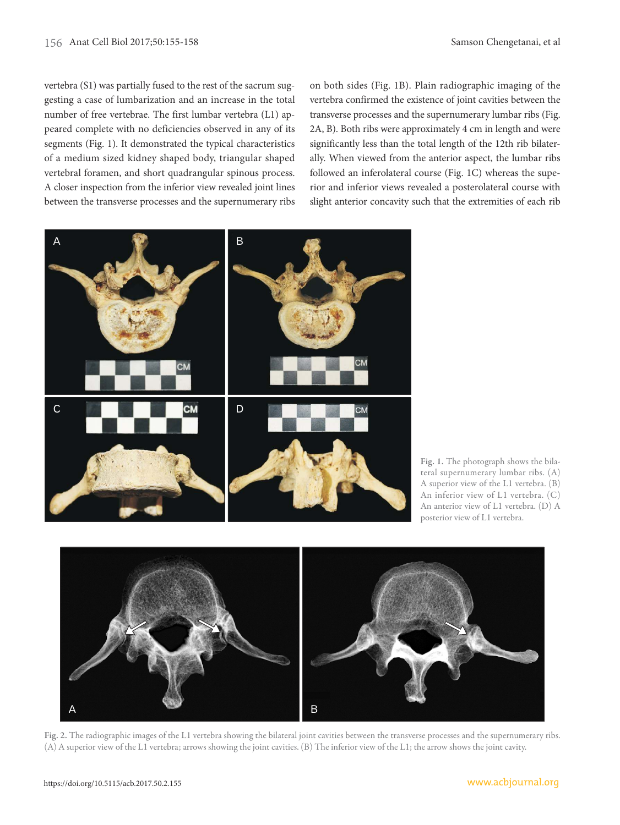vertebra (S1) was partially fused to the rest of the sacrum suggesting a case of lumbarization and an increase in the total number of free vertebrae. The first lumbar vertebra (L1) appeared complete with no deficiencies observed in any of its segments (Fig. 1). It demonstrated the typical characteristics of a medium sized kidney shaped body, triangular shaped vertebral foramen, and short quadrangular spinous process. A closer inspection from the inferior view revealed joint lines between the transverse processes and the supernumerary ribs on both sides (Fig. 1B). Plain radiographic imaging of the vertebra confirmed the existence of joint cavities between the transverse processes and the supernumerary lumbar ribs (Fig. 2A, B). Both ribs were approximately 4 cm in length and were significantly less than the total length of the 12th rib bilaterally. When viewed from the anterior aspect, the lumbar ribs followed an inferolateral course (Fig. 1C) whereas the superior and inferior views revealed a posterolateral course with slight anterior concavity such that the extremities of each rib



Fig. 1. The photograph shows the bilateral supernumerary lumbar ribs. (A) A superior view of the L1 vertebra. (B) An inferior view of L1 vertebra. (C) An anterior view of L1 vertebra. (D) A posterior view of L1 vertebra.



Fig. 2. The radiographic images of the L1 vertebra showing the bilateral joint cavities between the transverse processes and the supernumerary ribs. (A) A superior view of the L1 vertebra; arrows showing the joint cavities. (B) The inferior view of the L1; the arrow shows the joint cavity.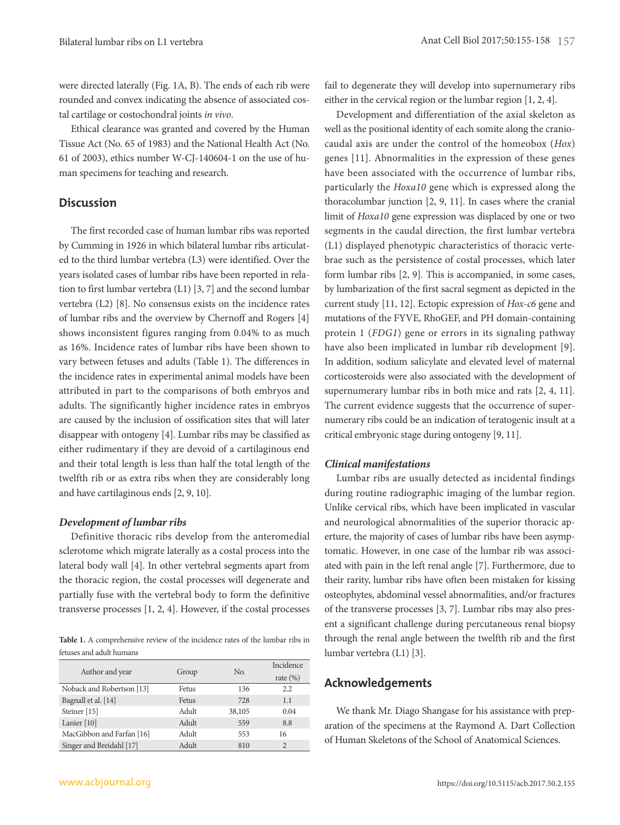were directed laterally (Fig. 1A, B). The ends of each rib were rounded and convex indicating the absence of associated costal cartilage or costochondral joints in vivo.

Ethical clearance was granted and covered by the Human Tissue Act (No. 65 of 1983) and the National Health Act (No. 61 of 2003), ethics number W-CJ-140604-1 on the use of human specimens for teaching and research.

#### **Discussion**

The first recorded case of human lumbar ribs was reported by Cumming in 1926 in which bilateral lumbar ribs articulated to the third lumbar vertebra (L3) were identified. Over the years isolated cases of lumbar ribs have been reported in relation to first lumbar vertebra (L1) [3, 7] and the second lumbar vertebra (L2) [8]. No consensus exists on the incidence rates of lumbar ribs and the overview by Chernoff and Rogers [4] shows inconsistent figures ranging from 0.04% to as much as 16%. Incidence rates of lumbar ribs have been shown to vary between fetuses and adults (Table 1). The differences in the incidence rates in experimental animal models have been attributed in part to the comparisons of both embryos and adults. The significantly higher incidence rates in embryos are caused by the inclusion of ossification sites that will later disappear with ontogeny [4]. Lumbar ribs may be classified as either rudimentary if they are devoid of a cartilaginous end and their total length is less than half the total length of the twelfth rib or as extra ribs when they are considerably long and have cartilaginous ends [2, 9, 10].

#### **Development of lumbar ribs**

Definitive thoracic ribs develop from the anteromedial sclerotome which migrate laterally as a costal process into the lateral body wall [4]. In other vertebral segments apart from the thoracic region, the costal processes will degenerate and partially fuse with the vertebral body to form the definitive transverse processes [1, 2, 4]. However, if the costal processes

**Table 1.** A comprehensive review of the incidence rates of the lumbar ribs in fetuses and adult humans

| Author and year           | Group | No.    | <b>Incidence</b> |
|---------------------------|-------|--------|------------------|
|                           |       |        | rate $(\%)$      |
| Noback and Robertson [13] | Fetus | 136    | 2.2              |
| Bagnall et al. [14]       | Fetus | 728    | 1.1              |
| Steiner [15]              | Adult | 38,105 | 0.04             |
| Lanier $[10]$             | Adult | 559    | 8.8              |
| MacGibbon and Farfan [16] | Adult | 553    | 16               |
| Singer and Breidahl [17]  | Adult | 810    | $\mathfrak{D}$   |

fail to degenerate they will develop into supernumerary ribs either in the cervical region or the lumbar region [1, 2, 4].

Development and differentiation of the axial skeleton as well as the positional identity of each somite along the craniocaudal axis are under the control of the homeobox (Hox) genes [11]. Abnormalities in the expression of these genes have been associated with the occurrence of lumbar ribs, particularly the Hoxa10 gene which is expressed along the thoracolumbar junction [2, 9, 11]. In cases where the cranial limit of Hoxa10 gene expression was displaced by one or two segments in the caudal direction, the first lumbar vertebra (L1) displayed phenotypic characteristics of thoracic vertebrae such as the persistence of costal processes, which later form lumbar ribs [2, 9]. This is accompanied, in some cases, by lumbarization of the first sacral segment as depicted in the current study [11, 12]. Ectopic expression of Hox-c6 gene and mutations of the FYVE, RhoGEF, and PH domain-containing protein 1 (FDG1) gene or errors in its signaling pathway have also been implicated in lumbar rib development [9]. In addition, sodium salicylate and elevated level of maternal corticosteroids were also associated with the development of supernumerary lumbar ribs in both mice and rats [2, 4, 11]. The current evidence suggests that the occurrence of supernumerary ribs could be an indication of teratogenic insult at a critical embryonic stage during ontogeny [9, 11].

#### **Clinical manifestations**

Lumbar ribs are usually detected as incidental findings during routine radiographic imaging of the lumbar region. Unlike cervical ribs, which have been implicated in vascular and neurological abnormalities of the superior thoracic aperture, the majority of cases of lumbar ribs have been asymptomatic. However, in one case of the lumbar rib was associated with pain in the left renal angle [7]. Furthermore, due to their rarity, lumbar ribs have often been mistaken for kissing osteophytes, abdominal vessel abnormalities, and/or fractures of the transverse processes [3, 7]. Lumbar ribs may also present a significant challenge during percutaneous renal biopsy through the renal angle between the twelfth rib and the first lumbar vertebra (L1) [3].

### **Acknowledgements**

We thank Mr. Diago Shangase for his assistance with preparation of the specimens at the Raymond A. Dart Collection of Human Skeletons of the School of Anatomical Sciences.